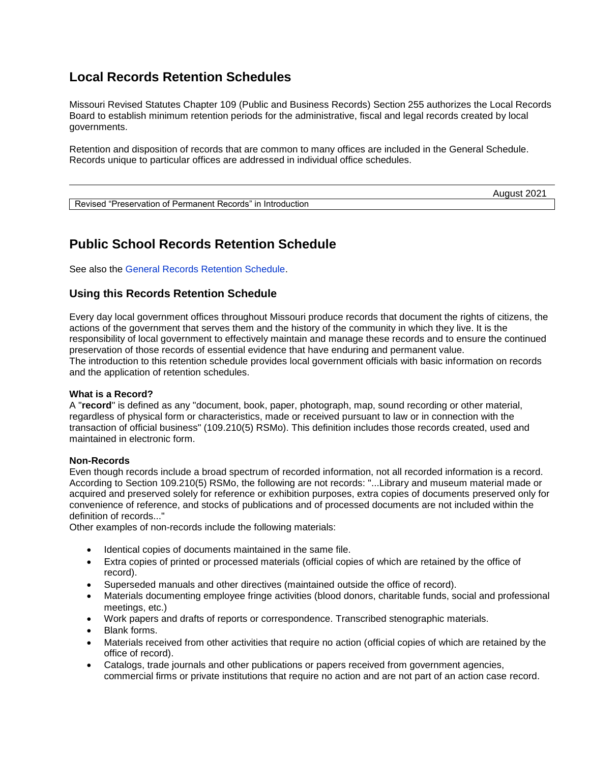## **Local Records Retention Schedules**

Missouri Revised Statutes Chapter 109 (Public and Business Records) Section 255 authorizes the Local Records Board to establish minimum retention periods for the administrative, fiscal and legal records created by local governments.

Retention and disposition of records that are common to many offices are included in the General Schedule. Records unique to particular offices are addressed in individual office schedules.

|                                                                                       | 20z<br>August |
|---------------------------------------------------------------------------------------|---------------|
| Revised<br>.<br>.』"Preservation of Permanent Records":<br>$^{\prime}$ in Introduction |               |

## **Public School Records Retention Schedule**

See also the [General Records Retention Schedule.](http://s1.sos.mo.gov/CMSImages/LocalRecords/General.pdf)

### **Using this Records Retention Schedule**

Every day local government offices throughout Missouri produce records that document the rights of citizens, the actions of the government that serves them and the history of the community in which they live. It is the responsibility of local government to effectively maintain and manage these records and to ensure the continued preservation of those records of essential evidence that have enduring and permanent value. The introduction to this retention schedule provides local government officials with basic information on records and the application of retention schedules.

### **What is a Record?**

A "**record**" is defined as any "document, book, paper, photograph, map, sound recording or other material, regardless of physical form or characteristics, made or received pursuant to law or in connection with the transaction of official business" (109.210(5) RSMo). This definition includes those records created, used and maintained in electronic form.

### **Non-Records**

Even though records include a broad spectrum of recorded information, not all recorded information is a record. According to Section 109.210(5) RSMo, the following are not records: "...Library and museum material made or acquired and preserved solely for reference or exhibition purposes, extra copies of documents preserved only for convenience of reference, and stocks of publications and of processed documents are not included within the definition of records..."

Other examples of non-records include the following materials:

- Identical copies of documents maintained in the same file.
- Extra copies of printed or processed materials (official copies of which are retained by the office of record).
- Superseded manuals and other directives (maintained outside the office of record).
- Materials documenting employee fringe activities (blood donors, charitable funds, social and professional meetings, etc.)
- Work papers and drafts of reports or correspondence. Transcribed stenographic materials.
- Blank forms.
- Materials received from other activities that require no action (official copies of which are retained by the office of record).
- Catalogs, trade journals and other publications or papers received from government agencies, commercial firms or private institutions that require no action and are not part of an action case record.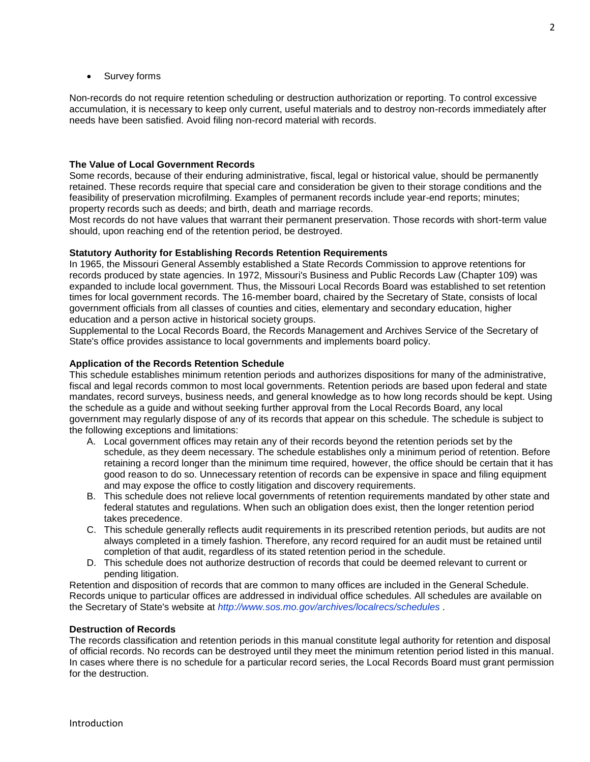Survey forms

Non-records do not require retention scheduling or destruction authorization or reporting. To control excessive accumulation, it is necessary to keep only current, useful materials and to destroy non-records immediately after needs have been satisfied. Avoid filing non-record material with records.

### **The Value of Local Government Records**

Some records, because of their enduring administrative, fiscal, legal or historical value, should be permanently retained. These records require that special care and consideration be given to their storage conditions and the feasibility of preservation microfilming. Examples of permanent records include year-end reports; minutes; property records such as deeds; and birth, death and marriage records.

Most records do not have values that warrant their permanent preservation. Those records with short-term value should, upon reaching end of the retention period, be destroyed.

### **Statutory Authority for Establishing Records Retention Requirements**

In 1965, the Missouri General Assembly established a State Records Commission to approve retentions for records produced by state agencies. In 1972, Missouri's Business and Public Records Law (Chapter 109) was expanded to include local government. Thus, the Missouri Local Records Board was established to set retention times for local government records. The 16-member board, chaired by the Secretary of State, consists of local government officials from all classes of counties and cities, elementary and secondary education, higher education and a person active in historical society groups.

Supplemental to the Local Records Board, the Records Management and Archives Service of the Secretary of State's office provides assistance to local governments and implements board policy.

### **Application of the Records Retention Schedule**

This schedule establishes minimum retention periods and authorizes dispositions for many of the administrative, fiscal and legal records common to most local governments. Retention periods are based upon federal and state mandates, record surveys, business needs, and general knowledge as to how long records should be kept. Using the schedule as a guide and without seeking further approval from the Local Records Board, any local government may regularly dispose of any of its records that appear on this schedule. The schedule is subject to the following exceptions and limitations:

- A. Local government offices may retain any of their records beyond the retention periods set by the schedule, as they deem necessary. The schedule establishes only a minimum period of retention. Before retaining a record longer than the minimum time required, however, the office should be certain that it has good reason to do so. Unnecessary retention of records can be expensive in space and filing equipment and may expose the office to costly litigation and discovery requirements.
- B. This schedule does not relieve local governments of retention requirements mandated by other state and federal statutes and regulations. When such an obligation does exist, then the longer retention period takes precedence.
- C. This schedule generally reflects audit requirements in its prescribed retention periods, but audits are not always completed in a timely fashion. Therefore, any record required for an audit must be retained until completion of that audit, regardless of its stated retention period in the schedule.
- D. This schedule does not authorize destruction of records that could be deemed relevant to current or pending litigation.

Retention and disposition of records that are common to many offices are included in the General Schedule. Records unique to particular offices are addressed in individual office schedules. All schedules are available on the Secretary of State's website at *[http://www.sos.mo.gov/archives/localrecs/schedules .](http://www.sos.mo.gov/archives/localrecs/schedules)* 

### **Destruction of Records**

The records classification and retention periods in this manual constitute legal authority for retention and disposal of official records. No records can be destroyed until they meet the minimum retention period listed in this manual. In cases where there is no schedule for a particular record series, the Local Records Board must grant permission for the destruction.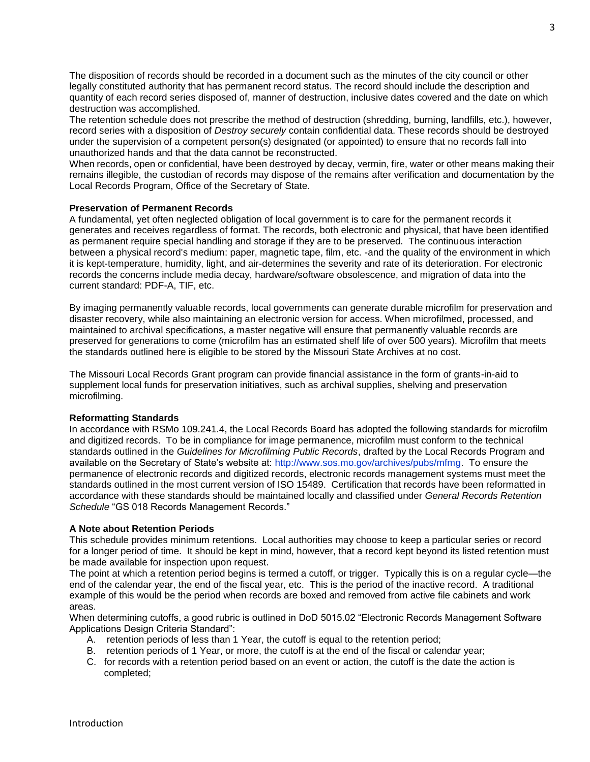The disposition of records should be recorded in a document such as the minutes of the city council or other legally constituted authority that has permanent record status. The record should include the description and quantity of each record series disposed of, manner of destruction, inclusive dates covered and the date on which destruction was accomplished.

The retention schedule does not prescribe the method of destruction (shredding, burning, landfills, etc.), however, record series with a disposition of *Destroy securely* contain confidential data. These records should be destroyed under the supervision of a competent person(s) designated (or appointed) to ensure that no records fall into unauthorized hands and that the data cannot be reconstructed.

When records, open or confidential, have been destroyed by decay, vermin, fire, water or other means making their remains illegible, the custodian of records may dispose of the remains after verification and documentation by the Local Records Program, Office of the Secretary of State.

### **Preservation of Permanent Records**

A fundamental, yet often neglected obligation of local government is to care for the permanent records it generates and receives regardless of format. The records, both electronic and physical, that have been identified as permanent require special handling and storage if they are to be preserved. The continuous interaction between a physical record's medium: paper, magnetic tape, film, etc. -and the quality of the environment in which it is kept-temperature, humidity, light, and air-determines the severity and rate of its deterioration. For electronic records the concerns include media decay, hardware/software obsolescence, and migration of data into the current standard: PDF-A, TIF, etc.

By imaging permanently valuable records, local governments can generate durable microfilm for preservation and disaster recovery, while also maintaining an electronic version for access. When microfilmed, processed, and maintained to archival specifications, a master negative will ensure that permanently valuable records are preserved for generations to come (microfilm has an estimated shelf life of over 500 years). Microfilm that meets the standards outlined here is eligible to be stored by the Missouri State Archives at no cost.

The Missouri Local Records Grant program can provide financial assistance in the form of grants-in-aid to supplement local funds for preservation initiatives, such as archival supplies, shelving and preservation microfilming.

### **Reformatting Standards**

In accordance with RSMo 109.241.4, the Local Records Board has adopted the following standards for microfilm and digitized records. To be in compliance for image permanence, microfilm must conform to the technical standards outlined in the *Guidelines for Microfilming Public Records*, drafted by the Local Records Program and available on the Secretary of State's website at: [http://www.sos.mo.gov/archives/pubs/mfmg.](http://www.sos.mo.gov/archives/pubs/mfmg) To ensure the permanence of electronic records and digitized records, electronic records management systems must meet the standards outlined in the most current version of ISO 15489. Certification that records have been reformatted in accordance with these standards should be maintained locally and classified under *General Records Retention Schedule* "GS 018 Records Management Records."

### **A Note about Retention Periods**

This schedule provides minimum retentions. Local authorities may choose to keep a particular series or record for a longer period of time. It should be kept in mind, however, that a record kept beyond its listed retention must be made available for inspection upon request.

The point at which a retention period begins is termed a cutoff, or trigger. Typically this is on a regular cycle—the end of the calendar year, the end of the fiscal year, etc. This is the period of the inactive record. A traditional example of this would be the period when records are boxed and removed from active file cabinets and work areas.

When determining cutoffs, a good rubric is outlined in DoD 5015.02 "Electronic Records Management Software Applications Design Criteria Standard":

- A. retention periods of less than 1 Year, the cutoff is equal to the retention period;
- B. retention periods of 1 Year, or more, the cutoff is at the end of the fiscal or calendar year;
- C. for records with a retention period based on an event or action, the cutoff is the date the action is completed;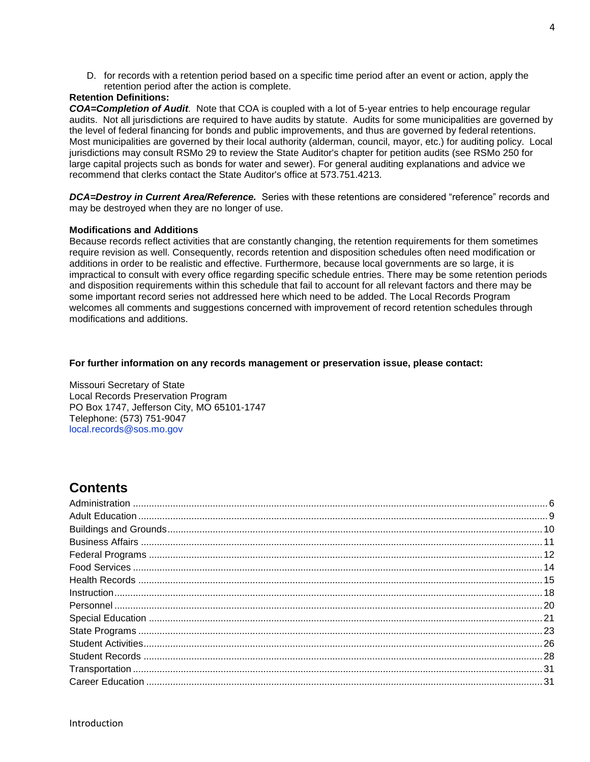D. for records with a retention period based on a specific time period after an event or action, apply the retention period after the action is complete.

### **Retention Definitions:**

*COA=Completion of Audit.* Note that COA is coupled with a lot of 5-year entries to help encourage regular audits. Not all jurisdictions are required to have audits by statute. Audits for some municipalities are governed by the level of federal financing for bonds and public improvements, and thus are governed by federal retentions. Most municipalities are governed by their local authority (alderman, council, mayor, etc.) for auditing policy. Local jurisdictions may consult RSMo 29 to review the State Auditor's chapter for petition audits (see RSMo 250 for large capital projects such as bonds for water and sewer). For general auditing explanations and advice we recommend that clerks contact the State Auditor's office at 573.751.4213.

*DCA=Destroy in Current Area/Reference.* Series with these retentions are considered "reference" records and may be destroyed when they are no longer of use.

### **Modifications and Additions**

Because records reflect activities that are constantly changing, the retention requirements for them sometimes require revision as well. Consequently, records retention and disposition schedules often need modification or additions in order to be realistic and effective. Furthermore, because local governments are so large, it is impractical to consult with every office regarding specific schedule entries. There may be some retention periods and disposition requirements within this schedule that fail to account for all relevant factors and there may be some important record series not addressed here which need to be added. The Local Records Program welcomes all comments and suggestions concerned with improvement of record retention schedules through modifications and additions.

### **For further information on any records management or preservation issue, please contact:**

Missouri Secretary of State Local Records Preservation Program PO Box 1747, Jefferson City, MO 65101-1747 Telephone: (573) 751-9047 [local.records@sos.mo.gov](mailto:local.records@sos.mo.gov)

## **Contents**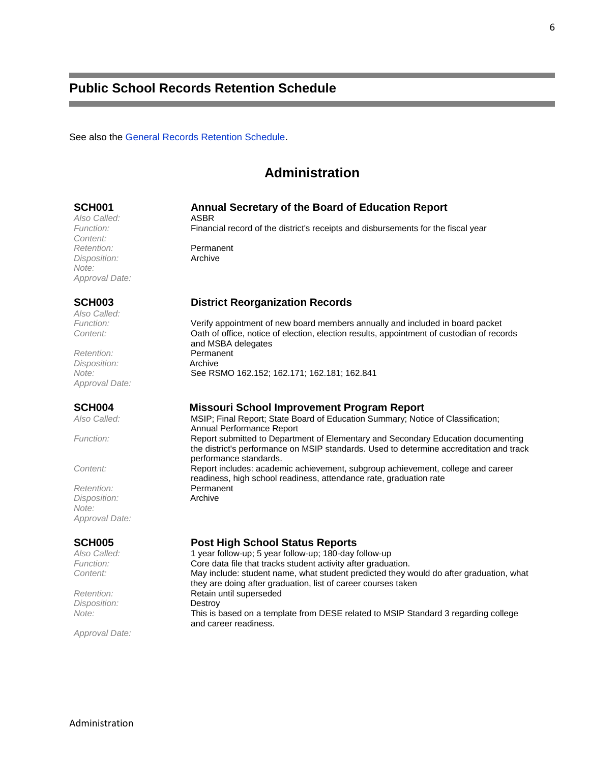## **Public School Records Retention Schedule**

<span id="page-5-0"></span>See also the [General Records Retention Schedule.](http://www.sos.mo.gov/archives/localrecs/schedules/general.pdf)

## **Administration**

### **SCH001 Annual Secretary of the Board of Education Report**

*Also Called:* ASBR *Content: Retention:* Permanent *Disposition:* Archive *Note: Approval Date:*

*Also Called:*

*Retention:* Permanent *Disposition:* Archive *Approval Date:*

**Retention:** Permanent<br> **Disposition:** Archive *Disposition: Note: Approval Date:*

*Disposition:*<br>Note:

*Approval Date:*

*Function:* Financial record of the district's receipts and disbursements for the fiscal year

### **SCH003 District Reorganization Records**

*Function:* Verify appointment of new board members annually and included in board packet *Content:* Oath of office, notice of election, election results, appointment of custodian of records and MSBA delegates *Note:* See RSMO 162.152; 162.171; 162.181; 162.841

# **SCH004 Missouri School Improvement Program Report**<br>Also Called: **MSIP: Final Report: State Board of Education Summary: Notic**

*Also Called:* MSIP; Final Report; State Board of Education Summary; Notice of Classification; Annual Performance Report *Function:* Report submitted to Department of Elementary and Secondary Education documenting the district's performance on MSIP standards. Used to determine accreditation and track performance standards. *Content:* Report includes: academic achievement, subgroup achievement, college and career readiness, high school readiness, attendance rate, graduation rate

**SCH005 Post High School Status Reports**

*Also Called:* 1 year follow-up; 5 year follow-up; 180-day follow-up *Function:* Core data file that tracks student activity after graduation. *Content:* May include: student name, what student predicted they would do after graduation, what they are doing after graduation, list of career courses taken **Retention: Retain until superseded**<br>
Disposition: **Restroy** *Note:* This is based on a template from DESE related to MSIP Standard 3 regarding college and career readiness.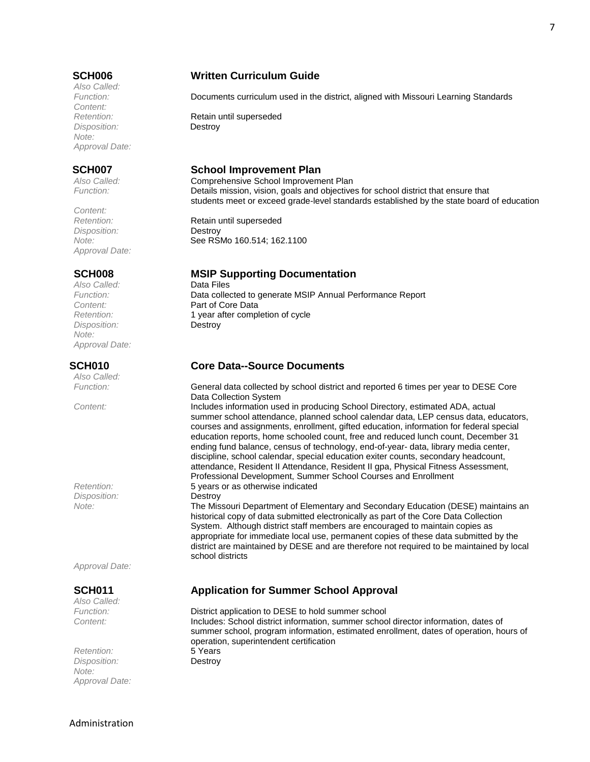*Also Called: Content: Disposition:* Destroy *Note: Approval Date:*

*Content: Disposition:* Destroy *Approval Date:*

Also Called: *Disposition:* Destroy *Note: Approval Date:*

*Also Called:*

*Disposition:* Destroy

*Approval Date:*

*Also Called:*

*Retention: Disposition:* Destroy *Note: Approval Date:*

### **SCH006 Written Curriculum Guide**

*Function:* Documents curriculum used in the district, aligned with Missouri Learning Standards

**Retention:** Retain until superseded

### **SCH007 School Improvement Plan**

*Also Called:* Comprehensive School Improvement Plan *Function:* Details mission, vision, goals and objectives for school district that ensure that students meet or exceed grade-level standards established by the state board of education

**Retention:** Retain until superseded *Note:* **See RSMo 160.514; 162.1100** 

# **SCH008 MSIP Supporting Documentation**

*Function:* Data collected to generate MSIP Annual Performance Report *Content:* Part of Core Data *Retention:* 1 year after completion of cycle

### **SCH010 Core Data--Source Documents**

*Function:* General data collected by school district and reported 6 times per year to DESE Core Data Collection System

*Content:* Includes information used in producing School Directory, estimated ADA, actual summer school attendance, planned school calendar data, LEP census data, educators, courses and assignments, enrollment, gifted education, information for federal special education reports, home schooled count, free and reduced lunch count, December 31 ending fund balance, census of technology, end-of-year- data, library media center, discipline, school calendar, special education exiter counts, secondary headcount, attendance, Resident II Attendance, Resident II gpa, Physical Fitness Assessment, Professional Development, Summer School Courses and Enrollment *Retention:* 5 years or as otherwise indicated

*Note:* The Missouri Department of Elementary and Secondary Education (DESE) maintains an historical copy of data submitted electronically as part of the Core Data Collection System. Although district staff members are encouraged to maintain copies as appropriate for immediate local use, permanent copies of these data submitted by the district are maintained by DESE and are therefore not required to be maintained by local school districts

### **SCH011 Application for Summer School Approval**

District application to DESE to hold summer school *Content:* Includes: School district information, summer school director information, dates of summer school, program information, estimated enrollment, dates of operation, hours of operation, superintendent certification<br>5 Years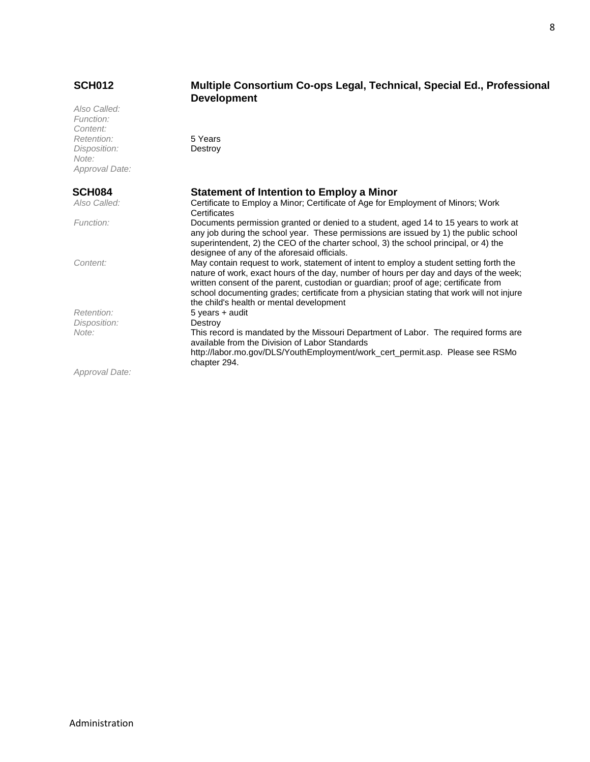### **SCH012 Multiple Consortium Co-ops Legal, Technical, Special Ed., Professional**

|                | <b>Development</b>                                                                                                                    |
|----------------|---------------------------------------------------------------------------------------------------------------------------------------|
| Also Called:   |                                                                                                                                       |
| Function:      |                                                                                                                                       |
| Content:       |                                                                                                                                       |
| Retention:     | 5 Years                                                                                                                               |
| Disposition:   | Destroy                                                                                                                               |
| Note:          |                                                                                                                                       |
| Approval Date: |                                                                                                                                       |
| <b>SCH084</b>  | <b>Statement of Intention to Employ a Minor</b>                                                                                       |
| Also Called:   | Certificate to Employ a Minor; Certificate of Age for Employment of Minors; Work                                                      |
|                | Certificates                                                                                                                          |
| Function:      | Documents permission granted or denied to a student, aged 14 to 15 years to work at                                                   |
|                | any job during the school year. These permissions are issued by 1) the public school                                                  |
|                | superintendent, 2) the CEO of the charter school, 3) the school principal, or 4) the                                                  |
|                | designee of any of the aforesaid officials.                                                                                           |
| Content:       | May contain request to work, statement of intent to employ a student setting forth the                                                |
|                | nature of work, exact hours of the day, number of hours per day and days of the week;                                                 |
|                | written consent of the parent, custodian or guardian; proof of age; certificate from                                                  |
|                | school documenting grades; certificate from a physician stating that work will not injure<br>the child's health or mental development |
| Retention:     | 5 years + audit                                                                                                                       |
| Disposition:   | Destroy                                                                                                                               |
| Note:          | This record is mandated by the Missouri Department of Labor. The required forms are                                                   |
|                | available from the Division of Labor Standards                                                                                        |
|                | http://labor.mo.gov/DLS/YouthEmployment/work_cert_permit.asp. Please see RSMo                                                         |
|                | chapter 294.                                                                                                                          |
| Approval Date: |                                                                                                                                       |

8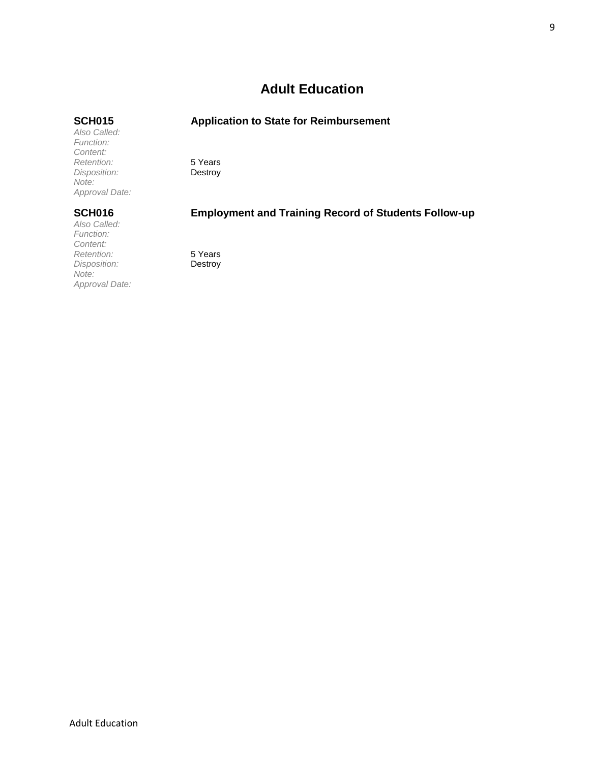## **Adult Education**

### <span id="page-8-0"></span>**SCH015 Application to State for Reimbursement**

*Function: Retention:* 5 Years *Disposition: Approval Date:*

*Also Called:*

*Content:*

*Note:*

*Also Called: Function: Content: Retention:* 5 Years *Disposition: Note: Approval Date:*

## **SCH016 Employment and Training Record of Students Follow-up**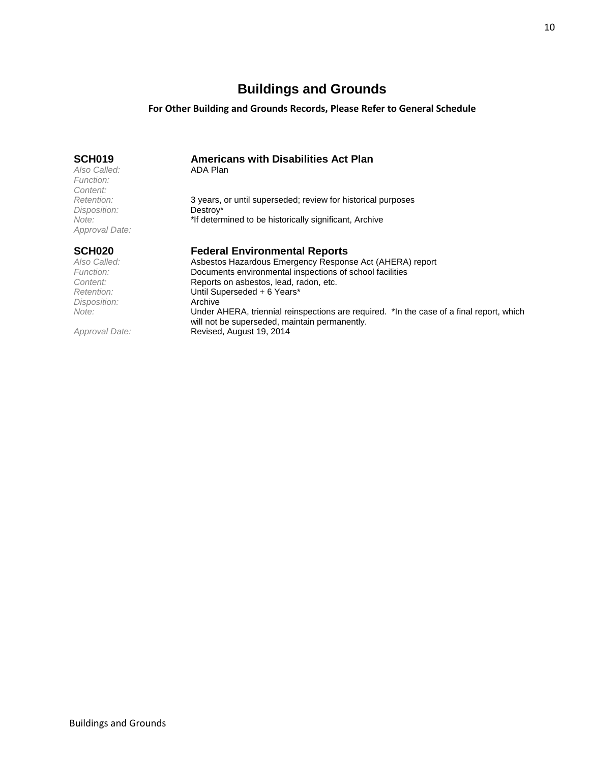## **Buildings and Grounds**

### **For Other Building and Grounds Records, Please Refer to General Schedule**

<span id="page-9-0"></span>

| SCH <sub>019</sub><br>Also Called:<br>Function:<br>Content: | <b>Americans with Disabilities Act Plan</b><br>ADA Plan                                                                                   |
|-------------------------------------------------------------|-------------------------------------------------------------------------------------------------------------------------------------------|
| Retention:                                                  | 3 years, or until superseded; review for historical purposes                                                                              |
| Disposition:<br>Note:<br>Approval Date:                     | Destroy*<br>"If determined to be historically significant, Archive                                                                        |
| <b>SCH020</b>                                               | <b>Federal Environmental Reports</b>                                                                                                      |
| Also Called:                                                | Asbestos Hazardous Emergency Response Act (AHERA) report                                                                                  |
| Function:                                                   | Documents environmental inspections of school facilities                                                                                  |
| Content:                                                    | Reports on asbestos, lead, radon, etc.                                                                                                    |
| Retention:                                                  | Until Superseded + 6 Years*                                                                                                               |
| Disposition:                                                | Archive                                                                                                                                   |
| Note:                                                       | Under AHERA, triennial reinspections are required. *In the case of a final report, which<br>will not be superseded, maintain permanently. |

*Approval Date:* Revised, August 19, 2014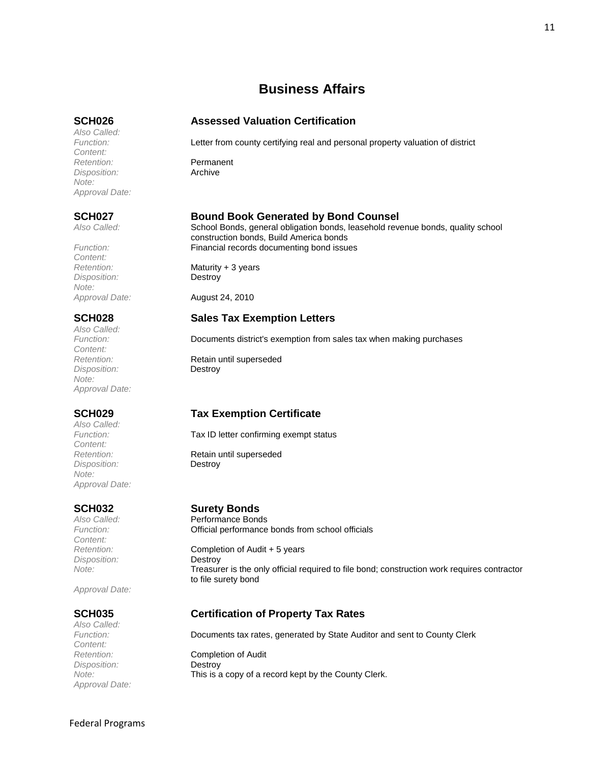## **Business Affairs**

*Also Called: Content: Retention:* Permanent *Disposition:* Archive *Note: Approval Date:*

*Content: Disposition:* Destroy *Note:*

*Also Called: Content: Disposition:* Destroy *Note: Approval Date:*

*Also Called: Content: Disposition:* Destroy *Note: Approval Date:*

*Content: Disposition:* Destroy

*Approval Date:*

*Also Called: Content: Disposition:* Destroy *Approval Date:*

### <span id="page-10-0"></span>**SCH026 Assessed Valuation Certification**

*Function:* Letter from county certifying real and personal property valuation of district

### **SCH027 Bound Book Generated by Bond Counsel**

Also Called: School Bonds, general obligation bonds, leasehold revenue bonds, quality school G construction bonds, Build America bonds Function: **Function:** Financial records documenting bond issues

*Retention:* Maturity + 3 years

*Approval Date:* August 24, 2010

### **SCH028 Sales Tax Exemption Letters**

*Function:* Documents district's exemption from sales tax when making purchases

**Retain until superseded** 

### **SCH029 Tax Exemption Certificate**

*Function:* Tax ID letter confirming exempt status

**Retention:** Retain until superseded

# **SCH032 Surety Bonds**

*Also Called:* Performance Bonds **Official performance bonds from school officials** 

**Completion of Audit + 5 years** *Note:* Treasurer is the only official required to file bond; construction work requires contractor to file surety bond

### **SCH035 Certification of Property Tax Rates**

*Function:* Documents tax rates, generated by State Auditor and sent to County Clerk *Retention:* Completion of Audit *Note:* This is a copy of a record kept by the County Clerk.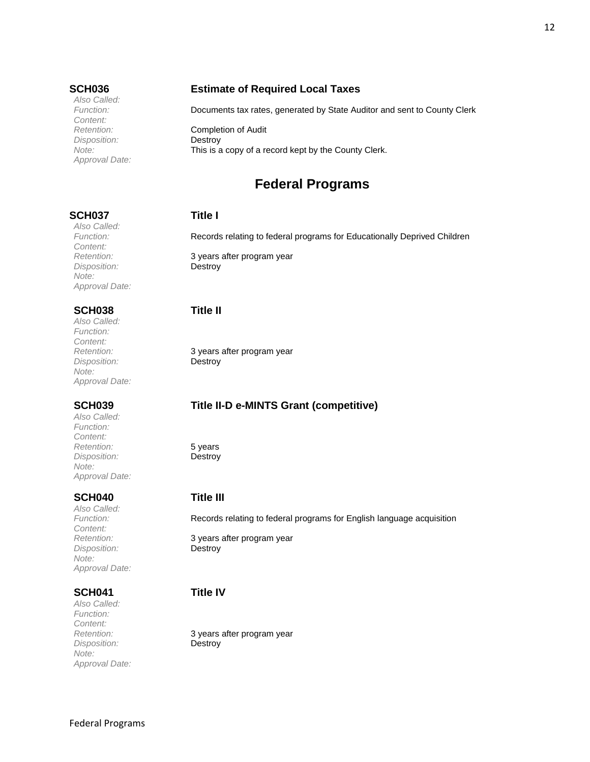*Also Called: Content: Disposition:* Destroy *Approval Date:*

### **SCH036 Estimate of Required Local Taxes**

*Function:* Documents tax rates, generated by State Auditor and sent to County Clerk

<span id="page-11-0"></span>*Retention:* Completion of Audit *Note:* This is a copy of a record kept by the County Clerk.

## **Federal Programs**

### **SCH037 Title I**

*Function:* Records relating to federal programs for Educationally Deprived Children

*Retention:* 3 years after program year

*Retention:* 3 years after program year

### **SCH039 Title II-D e-MINTS Grant (competitive)**

Records relating to federal programs for English language acquisition

*Retention:* 3 years after program year

*Retention:* 3 years after program year

*Also Called: Content: Disposition:* Destroy *Note: Approval Date:*

### **SCH038 Title II**

*Also Called: Function: Content: Disposition:* Destroy *Note: Approval Date:*

*Also Called: Function: Content: Retention:* 5 years *Disposition:* Destroy *Note: Approval Date:*

### **SCH040 Title III**

*Also Called: Content: Disposition:* Destroy *Note: Approval Date:*

### **SCH041 Title IV**

*Also Called: Function: Content: Disposition:* Destroy *Note: Approval Date:*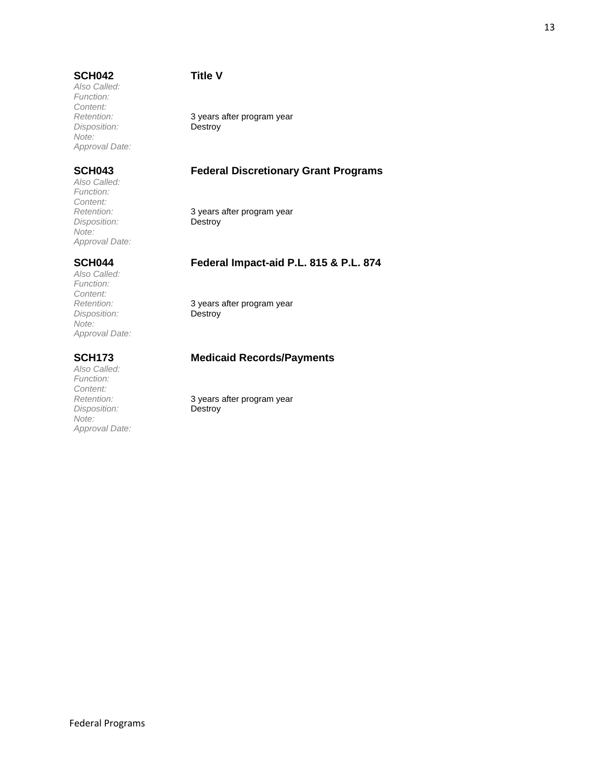*Also Called: Function: Content: Disposition: Note: Approval Date:*

*Also Called: Function: Content: Disposition: Note: Approval Date:*

*Also Called: Function: Content: Disposition: Note: Approval Date:*

*Also Called: Function: Content: Disposition:* Destroy *Note: Approval Date:*

**Retention:** 3 years after program year<br> *Disposition:* **Destroy** 

## **SCH043 Federal Discretionary Grant Programs**

3 years after program year<br>Destroy

### **SCH044 Federal Impact-aid P.L. 815 & P.L. 874**

3 years after program year<br>Destroy

### **SCH173 Medicaid Records/Payments**

*Retention:* 3 years after program year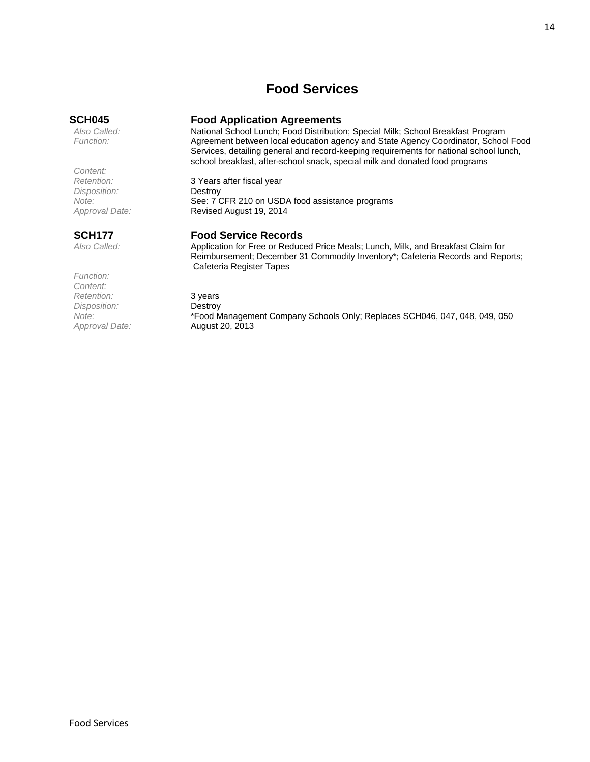## **Food Services**

*Content: Disposition:*<br>Note:

# <span id="page-13-0"></span>**SCH045 Food Application Agreements**

*Also Called:* National School Lunch; Food Distribution; Special Milk; School Breakfast Program *Function:* Agreement between local education agency and State Agency Coordinator, School Food Services, detailing general and record-keeping requirements for national school lunch, school breakfast, after-school snack, special milk and donated food programs

*Note:* See: 7 CFR 210 on USDA food assistance programs<br>Approval Date: **Revised August 19, 2014** *Approval Date:* Revised August 19, 2014

*Function: Content:* **Paramerican:** 3 years<br> *Pisposition:* **Destroy** *Disposition: Approval Date:* August 20, 2013

3 Years after fiscal year<br>Destroy

### **SCH177 Food Service Records**

*Also Called:* Application for Free or Reduced Price Meals; Lunch, Milk, and Breakfast Claim for Reimbursement; December 31 Commodity Inventory\*; Cafeteria Records and Reports; Cafeteria Register Tapes

*Note:* \*Food Management Company Schools Only; Replaces SCH046, 047, 048, 049, 050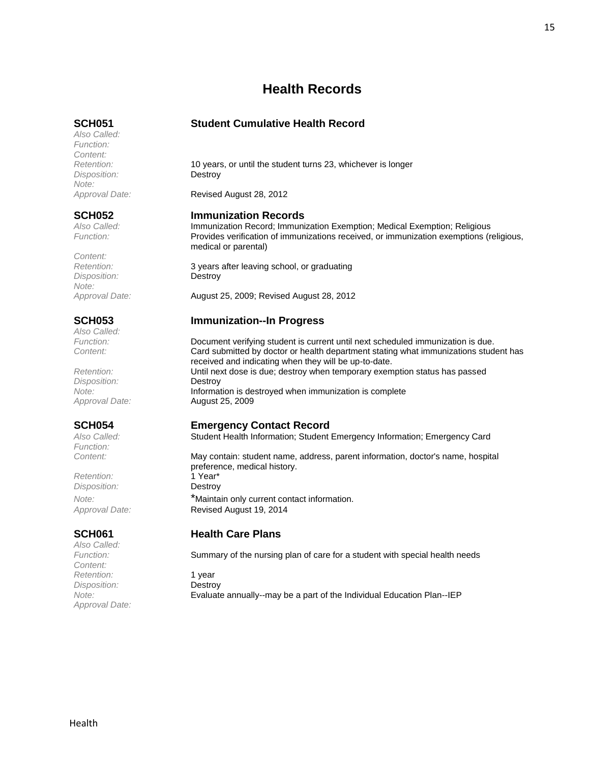## **Health Records**

*Also Called: Function: Content: Disposition:* Destroy *Note:*

*Content: Disposition:* Destroy *Note:*

*Also Called:*

*Disposition:* Destroy

*Function:*

 $R$ etention: *Disposition:* Destroy

*Also Called: Content: Retention:* 1 year *Disposition:* Destroy *Approval Date:*

### <span id="page-14-0"></span>**SCH051 Student Cumulative Health Record**

*Retention:* 10 years, or until the student turns 23, whichever is longer

*Approval Date:* Revised August 28, 2012

### **SCH052 Immunization Records**

*Also Called:* Immunization Record; Immunization Exemption; Medical Exemption; Religious *Function:* Provides verification of immunizations received, or immunization exemptions (religious, medical or parental)

*Retention:* 3 years after leaving school, or graduating

*Approval Date:* August 25, 2009; Revised August 28, 2012

### **SCH053 Immunization--In Progress**

*Function:* Document verifying student is current until next scheduled immunization is due. *Content:* Card submitted by doctor or health department stating what immunizations student has received and indicating when they will be up-to-date. *Retention:* Until next dose is due; destroy when temporary exemption status has passed *Note:* Information is destroyed when immunization is complete *Approval Date:* August 25, 2009

### **SCH054 Emergency Contact Record**

*Also Called:* Student Health Information; Student Emergency Information; Emergency Card

*Content:* May contain: student name, address, parent information, doctor's name, hospital preference, medical history.<br>1 Year\* *Note:* \*Maintain only current contact information. *Approval Date:* Revised August 19, 2014

### **SCH061 Health Care Plans**

Summary of the nursing plan of care for a student with special health needs

*Note:* Evaluate annually--may be a part of the Individual Education Plan--IEP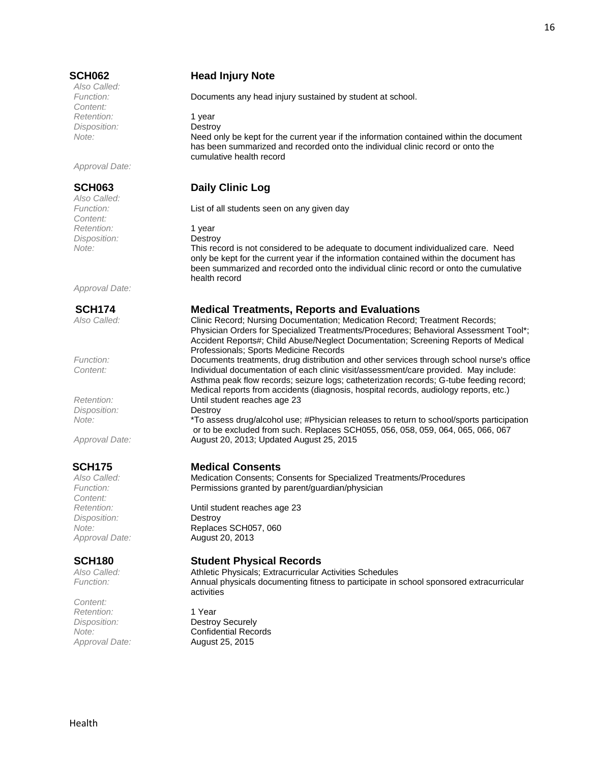*Also Called: Content:* Retention: 1 year *Disposition:* Destroy

*Approval Date:*

*Also Called: Content:* Retention: 1 year *Disposition:* Destroy

*Approval Date:*

*Disposition:* Destroy

*Content: Disposition:* Destroy

*Content: Retention:* 1 Year

### **SCH062 Head Injury Note**

*Function:* Documents any head injury sustained by student at school.

*Note:* Need only be kept for the current year if the information contained within the document has been summarized and recorded onto the individual clinic record or onto the cumulative health record

## **SCH063 Daily Clinic Log**

*Function:* List of all students seen on any given day

*Note:* This record is not considered to be adequate to document individualized care. Need only be kept for the current year if the information contained within the document has been summarized and recorded onto the individual clinic record or onto the cumulative health record

### **SCH174 Medical Treatments, Reports and Evaluations**

*Also Called:* Clinic Record; Nursing Documentation; Medication Record; Treatment Records; Physician Orders for Specialized Treatments/Procedures; Behavioral Assessment Tool\*; Accident Reports#; Child Abuse/Neglect Documentation; Screening Reports of Medical Professionals; Sports Medicine Records

*Function:* Documents treatments, drug distribution and other services through school nurse's office *Content:* Individual documentation of each clinic visit/assessment/care provided. May include: Asthma peak flow records; seizure logs; catheterization records; G-tube feeding record; Medical reports from accidents (diagnosis, hospital records, audiology reports, etc.) *Retention:* Until student reaches age 23

*Note:* \*To assess drug/alcohol use; #Physician releases to return to school/sports participation or to be excluded from such. Replaces SCH055, 056, 058, 059, 064, 065, 066, 067 *Approval Date:* August 20, 2013; Updated August 25, 2015

# **SCH175 Medical Consents**<br>Also Called: **Medication Consents**; C

*Also Called:* Medication Consents; Consents for Specialized Treatments/Procedures Function: **Permissions granted by parent/guardian/physician** 

*Retention:* Until student reaches age 23 *Note:* Replaces SCH057, 060 *Approval Date:* August 20, 2013

### **SCH180 Student Physical Records**

*Also Called:* Athletic Physicals; Extracurricular Activities Schedules *Function:* Annual physicals documenting fitness to participate in school sponsored extracurricular activities

*Disposition:* Destroy Securely *Note:* Confidential Records *Approval Date:* August 25, 2015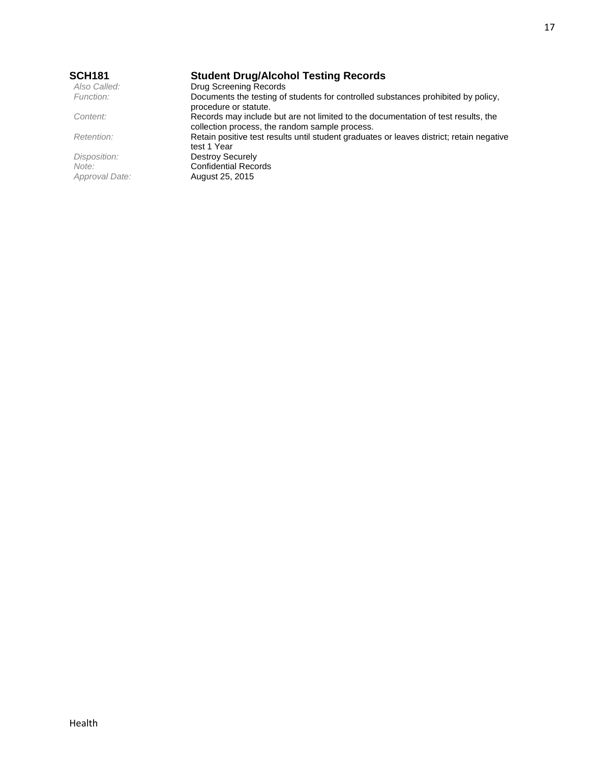| <b>SCH181</b>  | <b>Student Drug/Alcohol Testing Records</b>                                                                                         |
|----------------|-------------------------------------------------------------------------------------------------------------------------------------|
| Also Called:   | Drug Screening Records                                                                                                              |
| Function:      | Documents the testing of students for controlled substances prohibited by policy.<br>procedure or statute.                          |
| Content:       | Records may include but are not limited to the documentation of test results, the<br>collection process, the random sample process. |
| Retention:     | Retain positive test results until student graduates or leaves district; retain negative<br>test 1 Year                             |
| Disposition:   | <b>Destroy Securely</b>                                                                                                             |
| Note:          | <b>Confidential Records</b>                                                                                                         |
| Approval Date: | August 25, 2015                                                                                                                     |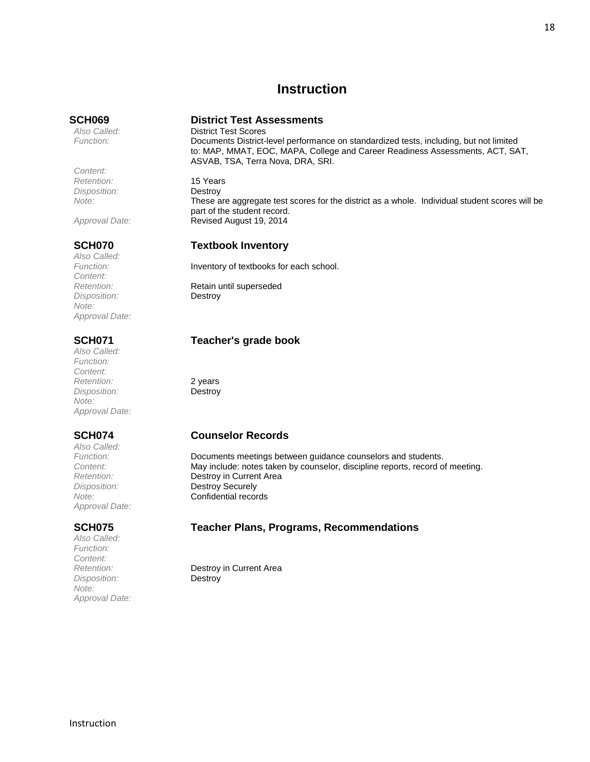## **Instruction**

*Content: Retention:* 15 Years *Disposition:* Destroy

*Note:* These are aggregate test scores for the district as a whole. Individual student scores will be

*Also Called: Content: Disposition:* Destroy *Note: Approval Date:*

*Also Called: Function: Content: Retention:* 2 years *Disposition:* Destroy *Note: Approval Date:*

*Also Called: Approval Date:*

*Also Called: Function: Content: Disposition:* Destroy *Note: Approval Date:*

### <span id="page-17-0"></span>**SCH069 District Test Assessments**

*Also Called:* District Test Scores *Function:* Documents District-level performance on standardized tests, including, but not limited to: MAP, MMAT, EOC, MAPA, College and Career Readiness Assessments, ACT, SAT, ASVAB, TSA, Terra Nova, DRA, SRI.

part of the student record. *Approval Date:* Revised August 19, 2014

### **SCH070 Textbook Inventory**

Function: **Inventory of textbooks for each school.** 

*Retention:* Retain until superseded

### **SCH071 Teacher's grade book**

### **SCH074 Counselor Records**

*Function:* Documents meetings between guidance counselors and students. *Content:* May include: notes taken by counselor, discipline reports, record of meeting. *Retention:* Destroy in Current Area *Disposition:* Destroy Securely *Note:* Confidential records

### **SCH075 Teacher Plans, Programs, Recommendations**

*Retention:* Destroy in Current Area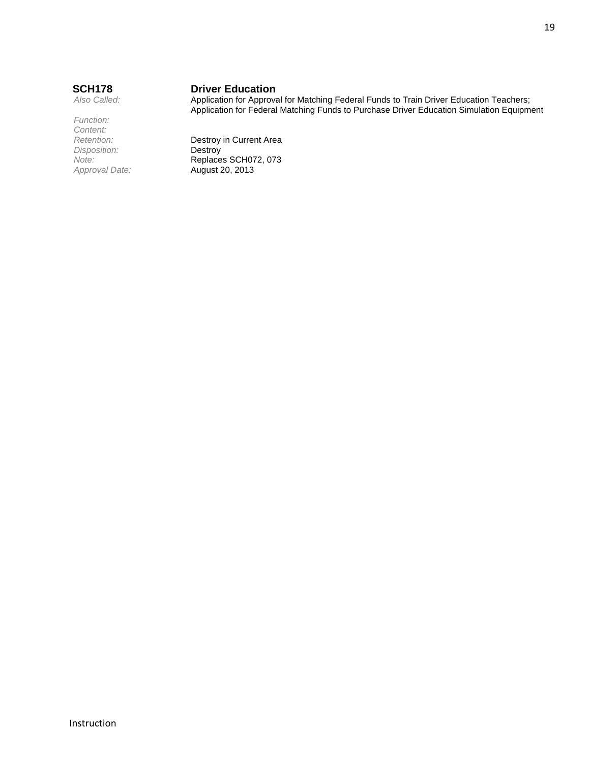*Function: Content: Disposition:*<br>Note:

# **SCH178 Driver Education**<br>Also Called: **Application for Approval**

Application for Approval for Matching Federal Funds to Train Driver Education Teachers; Application for Federal Matching Funds to Purchase Driver Education Simulation Equipment

**Retention: Destroy in Current Area**<br>*Disposition:* **Destroy** *Note:* **Replaces SCH072, 073**<br>*Approval Date:* **August 20, 2013** *Approval Date:* August 20, 2013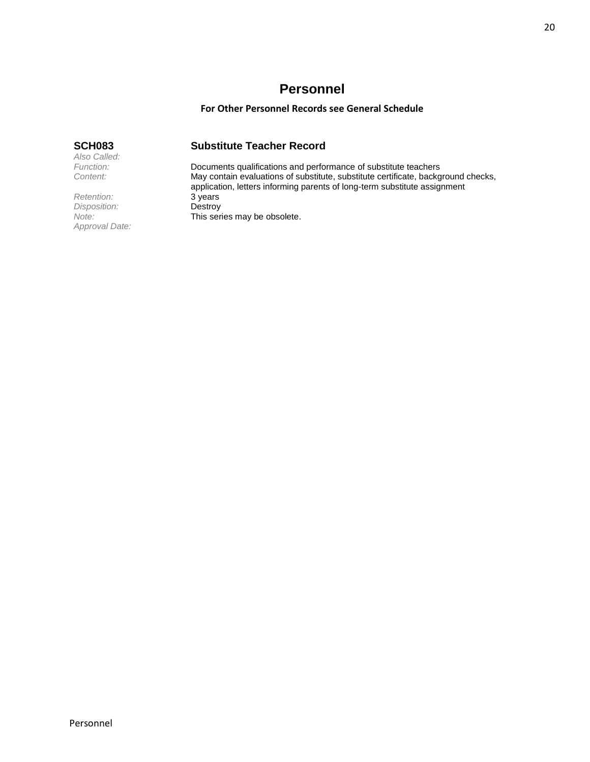## **Personnel**

### **For Other Personnel Records see General Schedule**

### <span id="page-19-0"></span>**SCH083 Substitute Teacher Record**

*Function:* Documents qualifications and performance of substitute teachers May contain evaluations of substitute, substitute certificate, background checks, application, letters informing parents of long-term substitute assignment This series may be obsolete.

*Also Called:*

Provide *Retention:* 3 years<br> *Disposition:* **Destroy** *Disposition:*<br>Note: *Approval Date:*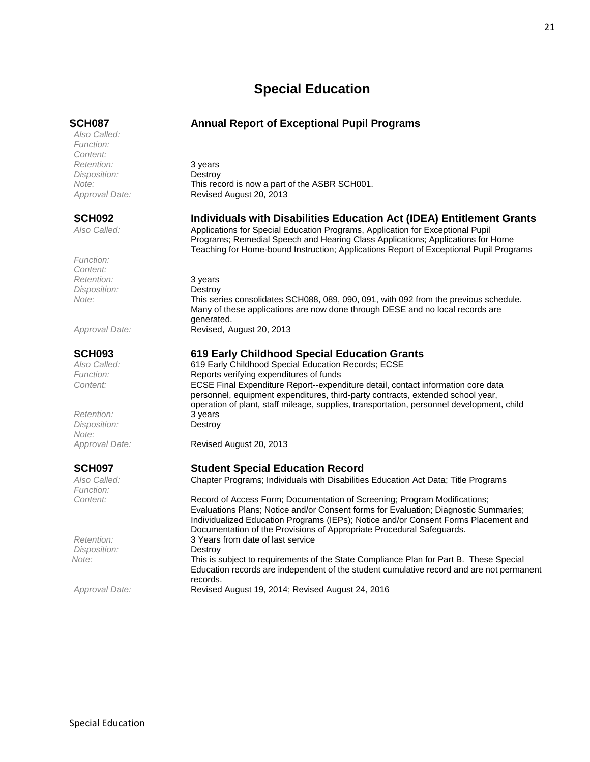## **Special Education**

*Also Called: Function: Content: Retention:* 3 years *Disposition:* Destroy

*Function: Content: Retention:* 3 years *Disposition:* Destroy

*Retention:* 3 years *Disposition:* Destroy *Note:*

*Function:*

*Disposition:* 

### <span id="page-20-0"></span>**SCH087 Annual Report of Exceptional Pupil Programs**

*Note:* This record is now a part of the ASBR SCH001. *Approval Date:* Revised August 20, 2013

### **SCH092 Individuals with Disabilities Education Act (IDEA) Entitlement Grants**

*Also Called:* Applications for Special Education Programs, Application for Exceptional Pupil Programs; Remedial Speech and Hearing Class Applications; Applications for Home Teaching for Home-bound Instruction; Applications Report of Exceptional Pupil Programs

*Note:* This series consolidates SCH088, 089, 090, 091, with 092 from the previous schedule. Many of these applications are now done through DESE and no local records are generated. *Approval Date:* Revised, August 20, 2013

### **SCH093 619 Early Childhood Special Education Grants**

*Also Called:* 619 Early Childhood Special Education Records; ECSE Function: **Reports verifying expenditures of funds** *Content:* ECSE Final Expenditure Report--expenditure detail, contact information core data personnel, equipment expenditures, third-party contracts, extended school year, operation of plant, staff mileage, supplies, transportation, personnel development, child

*Approval Date:* Revised August 20, 2013

### **SCH097 Student Special Education Record**

*Also Called:* Chapter Programs; Individuals with Disabilities Education Act Data; Title Programs

*Content:* Record of Access Form; Documentation of Screening; Program Modifications; Evaluations Plans; Notice and/or Consent forms for Evaluation; Diagnostic Summaries; Individualized Education Programs (IEPs); Notice and/or Consent Forms Placement and Documentation of the Provisions of Appropriate Procedural Safeguards. *Retention:* 3 Years from date of last service *Note:* This is subject to requirements of the State Compliance Plan for Part B. These Special Education records are independent of the student cumulative record and are not permanent records.

*Approval Date:* Revised August 19, 2014; Revised August 24, 2016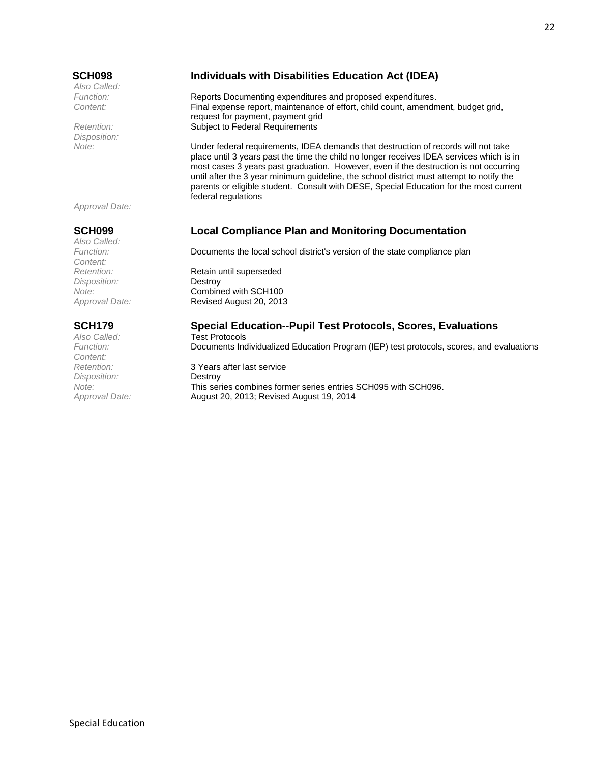*Also Called:*

*Disposition:*

### **SCH098 Individuals with Disabilities Education Act (IDEA)**

*Function:* Reports Documenting expenditures and proposed expenditures. *Content:* Final expense report, maintenance of effort, child count, amendment, budget grid, request for payment, payment grid *Retention:* Subject to Federal Requirements

*Note:* Under federal requirements, IDEA demands that destruction of records will not take place until 3 years past the time the child no longer receives IDEA services which is in most cases 3 years past graduation. However, even if the destruction is not occurring until after the 3 year minimum guideline, the school district must attempt to notify the parents or eligible student. Consult with DESE, Special Education for the most current federal regulations

*Approval Date:*

*Also Called: Content: Disposition:* Destroy

*Also Called:* Test Protocols<br> *Function:* Documents Ind *Content: Disposition:* Destroy

## **SCH099 Local Compliance Plan and Monitoring Documentation**

*Function:* Documents the local school district's version of the state compliance plan

**Retention:** Retain until superseded *Note:* Combined with SCH100 *Approval Date:* Revised August 20, 2013

### **SCH179 Special Education--Pupil Test Protocols, Scores, Evaluations**

*Function:* Documents Individualized Education Program (IEP) test protocols, scores, and evaluations

*Retention:* 3 Years after last service *Note:* This series combines former series entries SCH095 with SCH096. *Approval Date:* August 20, 2013; Revised August 19, 2014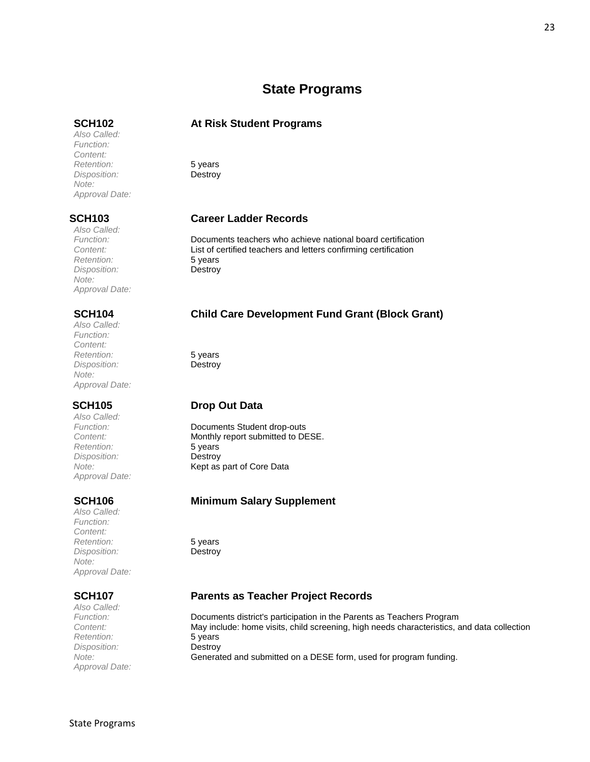## **State Programs**

### <span id="page-22-0"></span>**SCH102 At Risk Student Programs**

*Retention:* 5 years *Disposition:* Destroy

### **SCH103 Career Ladder Records**

*Function:* Documents teachers who achieve national board certification List of certified teachers and letters confirming certification

### **SCH104 Child Care Development Fund Grant (Block Grant)**

### **SCH105 Drop Out Data**

*Function:* Documents Student drop-outs **Content:** Monthly report submitted to DESE. *Note:* Kept as part of Core Data

### **SCH106 Minimum Salary Supplement**

### **SCH107 Parents as Teacher Project Records**

*Function:* Documents district's participation in the Parents as Teachers Program *Content:* May include: home visits, child screening, high needs characteristics, and data collection *Note:* Generated and submitted on a DESE form, used for program funding.

*Also Called: Retention:* 5 years *Disposition:* Destroy *Approval Date:*

*Also Called:* **Retention:** 5 years<br>
Disposition: **5 Destroy** *Disposition: Note: Approval Date:*

*Approval Date:*

*Also Called: Function: Content:*

*Note:*

*Also Called: Function: Content: Retention:* 5 years *Disposition:* Destroy *Note: Approval Date:*

*Also Called: Retention:* 5 years *Disposition:* Destroy *Approval Date:*

*Also Called: Function: Content: Retention:* 5 years *Disposition:* Destroy *Note: Approval Date:*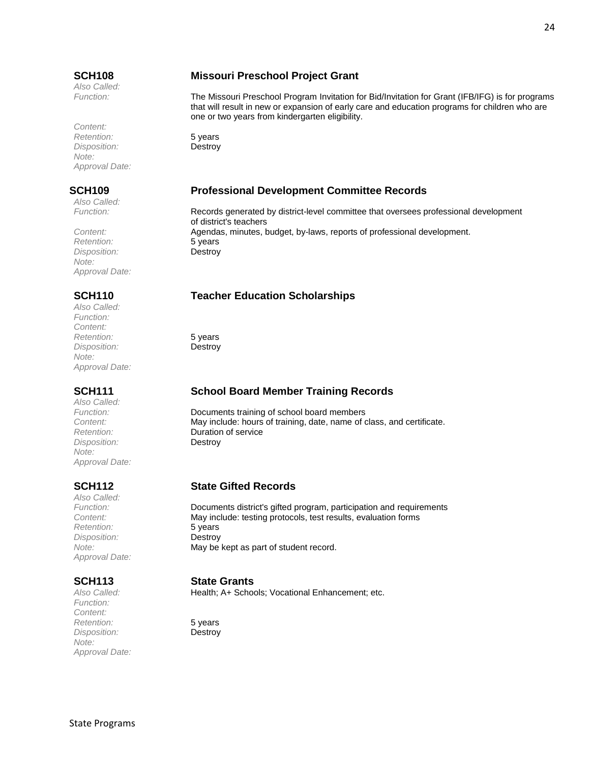*Also Called:*

*Content: Retention:* 5 years *Disposition:* Destroy *Note: Approval Date:*

*Also Called:*

*Retention:* 5 years *Disposition:* Destroy *Note: Approval Date:*

*Also Called: Function: Content: Retention:* 5 years *Disposition:* Destroy *Note: Approval Date:*

*Also Called: Disposition:* Destroy *Note: Approval Date:*

*Also Called:* **Paramerican:** 5 years<br> *Disposition:* **Destroy** *Disposition: Approval Date:*

*Function: Content: Retention:* 5 years *Disposition:* Destroy *Note: Approval Date:*

### **SCH108 Missouri Preschool Project Grant**

*Function:* The Missouri Preschool Program Invitation for Bid/Invitation for Grant (IFB/IFG) is for programs that will result in new or expansion of early care and education programs for children who are one or two years from kindergarten eligibility.

### **SCH109 Professional Development Committee Records**

*Function:* Records generated by district-level committee that oversees professional development of district's teachers *Content:* Agendas, minutes, budget, by-laws, reports of professional development.

### **SCH110 Teacher Education Scholarships**

### **SCH111 School Board Member Training Records**

Documents training of school board members *Content:* May include: hours of training, date, name of class, and certificate. *Retention:* Duration of service

### **SCH112 State Gifted Records**

*Function:* Documents district's gifted program, participation and requirements *Content:* May include: testing protocols, test results, evaluation forms *Note:* May be kept as part of student record.

# **SCH113 State Grants**

Health; A+ Schools; Vocational Enhancement; etc.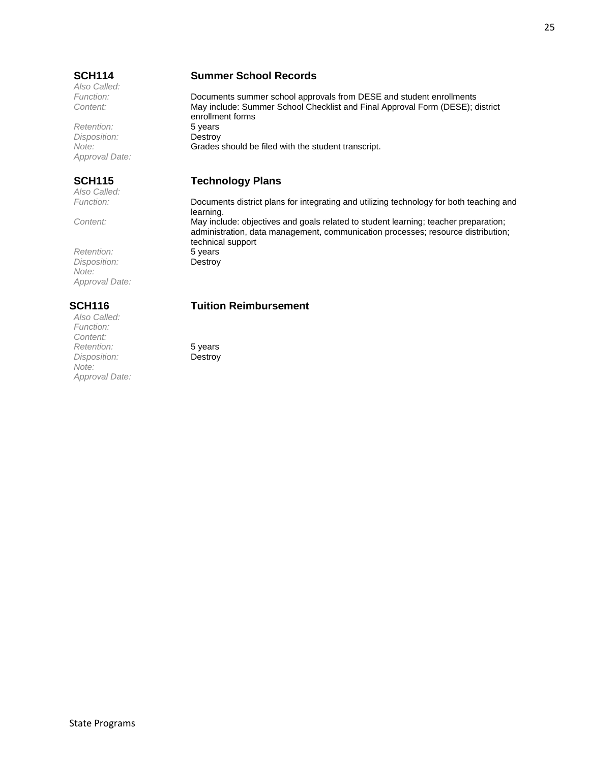*Also Called:*

 $R$ etention: *Disposition:* Destroy *Approval Date:*

*Also Called:*

*Retention:* 5 years *Disposition:* Destroy *Note: Approval Date:*

*Also Called: Function: Content:* **Paramerican:** 5 years 5 years 5 years 5 years 5 years 5 years 5 years 5 years 5 years 5 years 5 years 5 years 5 years 5 years 5 years 5 years 5 years 5 years 5 years 5 years 5 years 5 years 5 years 5 years 5 years 5 years *Disposition: Note: Approval Date:*

### **SCH114 Summer School Records**

*Function:* Documents summer school approvals from DESE and student enrollments *Content:* May include: Summer School Checklist and Final Approval Form (DESE); district enrollment forms<br>5 years *Note:* Grades should be filed with the student transcript.

### **SCH115 Technology Plans**

*Function:* Documents district plans for integrating and utilizing technology for both teaching and learning. *Content:* May include: objectives and goals related to student learning; teacher preparation; administration, data management, communication processes; resource distribution; technical support

### **SCH116 Tuition Reimbursement**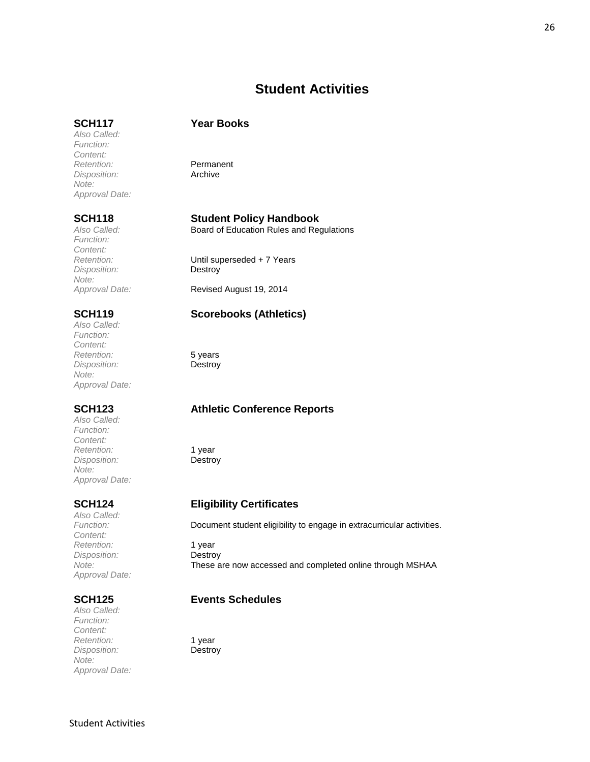## **Student Activities**

### <span id="page-25-0"></span>**SCH117 Year Books**

*Also Called: Function: Content:* **Retention:** Permanent<br> *Disposition:* Archive *Disposition: Note: Approval Date:*

*Function: Content: Disposition: Note:*

*Also Called: Function: Content: Retention:* 5 years *Disposition:* Destroy *Note: Approval Date:*

*Also Called: Function: Content:* **Paramerican Retention:** 1 year<br> *Disposition:* **Destroy** *Disposition: Note: Approval Date:*

*Also Called: Content:* **Paramerican Retention:** 1 year<br> *Disposition:* **Destroy** *Disposition: Approval Date:*

*Also Called: Function: Content: Retention:* 1 year *Disposition:* Destroy *Note: Approval Date:*

### **SCH118 Student Policy Handbook**

*Also Called:* Board of Education Rules and Regulations

*Dhtil superseded + 7 Years*<br>Destroy

*Approval Date:* Revised August 19, 2014

### **SCH119 Scorebooks (Athletics)**

### **SCH123 Athletic Conference Reports**

### **SCH124 Eligibility Certificates**

*Function:* Document student eligibility to engage in extracurricular activities.

*Note:* These are now accessed and completed online through MSHAA

### **SCH125 Events Schedules**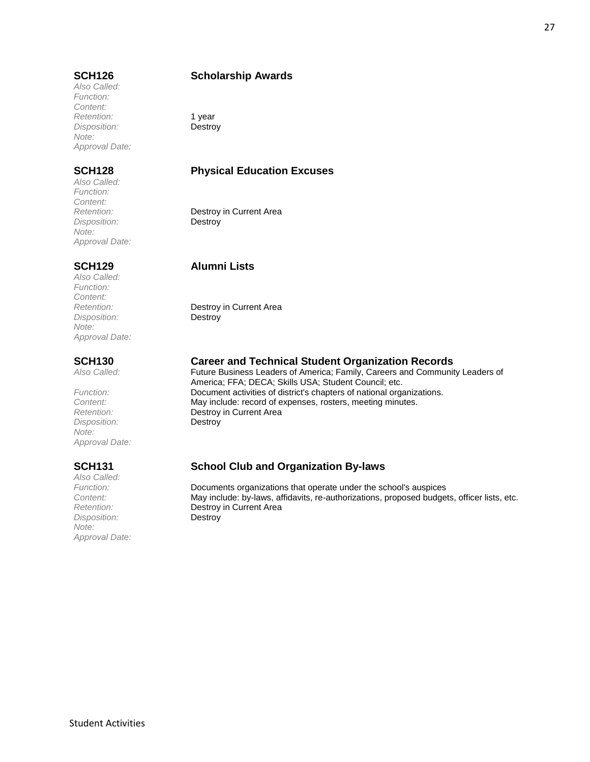*Also Called: Function: Content:* Retention: 1 year *Disposition:* Destroy *Note: Approval Date:*

*Also Called: Function: Content: Disposition:* Destroy *Note: Approval Date:*

*Also Called: Function: Content: Disposition:* Destroy *Note: Approval Date:*

*Disposition:* Destroy *Note: Approval Date:*

*Also Called: Disposition:* Destroy *Note: Approval Date:*

### **SCH126 Scholarship Awards**

### **SCH128 Physical Education Excuses**

**Destroy in Current Area** 

### **SCH129 Alumni Lists**

*Retention:* Destroy in Current Area

# **SCH130 Career and Technical Student Organization Records**<br>Also Called: **Called:** Future Business Leaders of America: Family. Careers and Community

Future Business Leaders of America; Family, Careers and Community Leaders of America; FFA; DECA; Skills USA; Student Council; etc. *Function:* Document activities of district's chapters of national organizations.<br>
Content: May include: record of expenses, rosters, meeting minutes. *Content:* May include: record of expenses, rosters, meeting minutes. **Destroy in Current Area** 

## **SCH131 School Club and Organization By-laws**

*Function:* Documents organizations that operate under the school's auspices *Content:* May include: by-laws, affidavits, re-authorizations, proposed budgets, officer lists, etc. *Retention:* Destroy in Current Area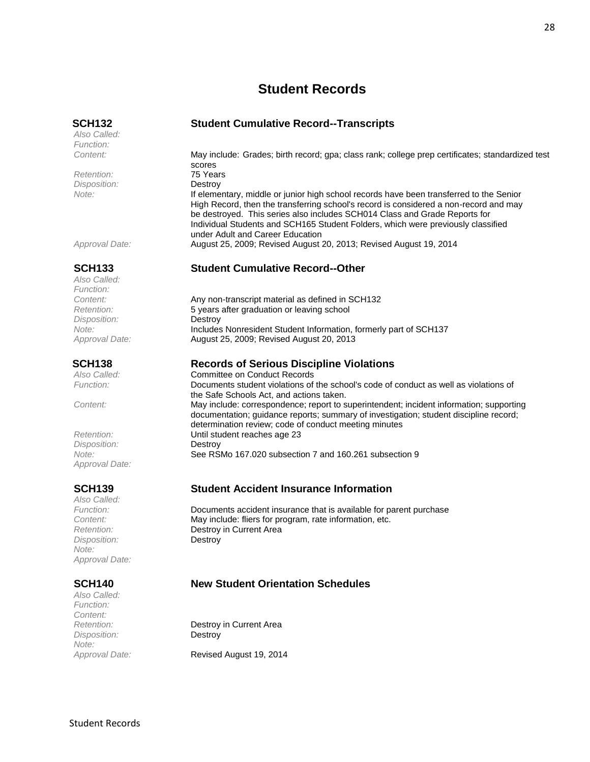## **Student Records**

*Also Called: Function:*

Retention: *Disposition:* Destroy

*Also Called: Function: Disposition:* Destroy

*Disposition:* Destroy *Approval Date:*

*Also Called: Disposition:* Destroy *Note: Approval Date:*

*Also Called: Function: Content: Disposition:* Destroy *Note:*

<span id="page-27-0"></span>**SCH132 Student Cumulative Record--Transcripts**

*Content:* May include: Grades; birth record; gpa; class rank; college prep certificates; standardized test scores<br>75 Years *Note:* If elementary, middle or junior high school records have been transferred to the Senior High Record, then the transferring school's record is considered a non-record and may be destroyed. This series also includes SCH014 Class and Grade Reports for Individual Students and SCH165 Student Folders, which were previously classified under Adult and Career Education *Approval Date:* August 25, 2009; Revised August 20, 2013; Revised August 19, 2014

### **SCH133 Student Cumulative Record--Other**

*Content:* Any non-transcript material as defined in SCH132 *Retention:* 5 years after graduation or leaving school *Note:* Includes Nonresident Student Information, formerly part of SCH137 *Approval Date:* August 25, 2009; Revised August 20, 2013

### **SCH138 Records of Serious Discipline Violations**

*Also Called:* Committee on Conduct Records *Function:* Documents student violations of the school's code of conduct as well as violations of the Safe Schools Act, and actions taken. *Content:* May include: correspondence; report to superintendent; incident information; supporting documentation; guidance reports; summary of investigation; student discipline record; determination review; code of conduct meeting minutes *Retention:* Until student reaches age 23 *Note:* See RSMo 167.020 subsection 7 and 160.261 subsection 9

### **SCH139 Student Accident Insurance Information**

*Function:* Documents accident insurance that is available for parent purchase **Content:** May include: fliers for program, rate information, etc.<br>
Retention: **Destrov** in Current Area **Destroy in Current Area** 

### **SCH140 New Student Orientation Schedules**

*Retention:* Destroy in Current Area

*Approval Date:* Revised August 19, 2014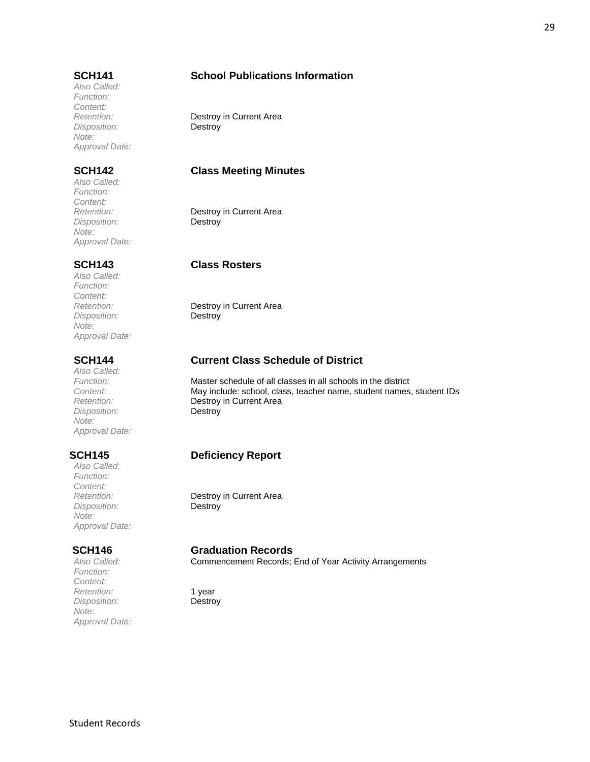*Also Called: Function: Content: Disposition:* Destroy *Note: Approval Date:*

*Also Called: Function: Content: Disposition:* Destroy *Note: Approval Date:*

*Also Called: Function: Content: Disposition:* Destroy *Note: Approval Date:*

*Also Called: Disposition:* Destroy *Note: Approval Date:*

*Also Called: Function: Content: Disposition:* Destroy *Note: Approval Date:*

*Function: Content: Retention:* 1 year *Disposition:* Destroy *Note: Approval Date:*

### **SCH141 School Publications Information**

*Retention:* Destroy in Current Area

### **SCH142 Class Meeting Minutes**

**Destroy in Current Area** 

### **SCH143 Class Rosters**

*Retention:* Destroy in Current Area

### **SCH144 Current Class Schedule of District**

*Function:* Master schedule of all classes in all schools in the district *Content:* May include: school, class, teacher name, student names, student IDs *Retention:* Destroy in Current Area

### **SCH145 Deficiency Report**

*Retention:* Destroy in Current Area

### **SCH146 Graduation Records**

*Also Called:* Commencement Records; End of Year Activity Arrangements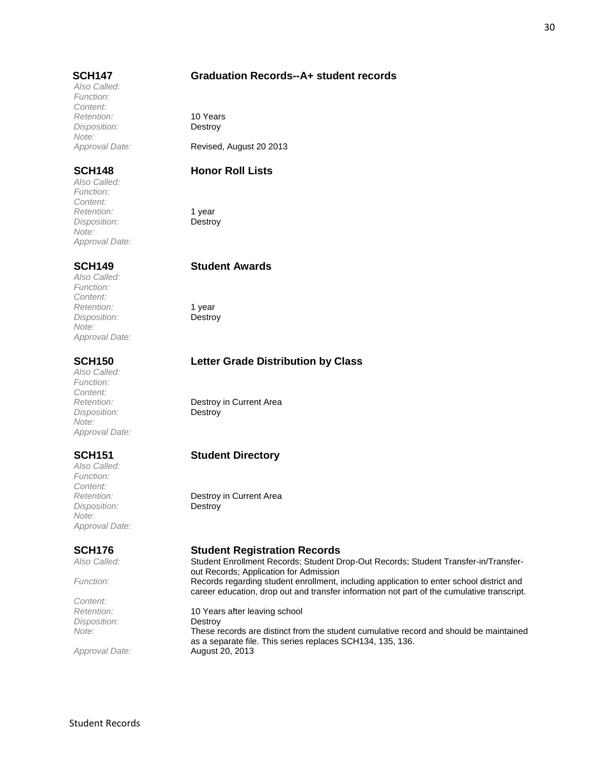### **SCH147 Graduation Records--A+ student records**

*Also Called: Function: Content: Retention:* 10 Years *Disposition:* Destroy *Note: Approval Date:* Revised, August 20 2013

### **SCH148 Honor Roll Lists**

*Also Called: Function: Content:* Retention: 1 year *Disposition:* Destroy *Note: Approval Date:*

*Also Called: Function: Content:* Retention: 1 year *Disposition:* Destroy *Note: Approval Date:*

*Also Called: Function: Content: Disposition:* Destroy *Note: Approval Date:*

*Also Called: Function: Content: Disposition:* Destroy *Note: Approval Date:*

*Content: Disposition:* Destroy

### **SCH149 Student Awards**

### **SCH150 Letter Grade Distribution by Class**

*Retention:* Destroy in Current Area

## **SCH151 Student Directory**

*Retention:* Destroy in Current Area

### **SCH176 Student Registration Records**

*Also Called:* Student Enrollment Records; Student Drop-Out Records; Student Transfer-in/Transferout Records; Application for Admission *Function:* Records regarding student enrollment, including application to enter school district and career education, drop out and transfer information not part of the cumulative transcript.

*Retention:* 10 Years after leaving school *Note:* These records are distinct from the student cumulative record and should be maintained as a separate file. This series replaces SCH134, 135, 136. *Approval Date:* August 20, 2013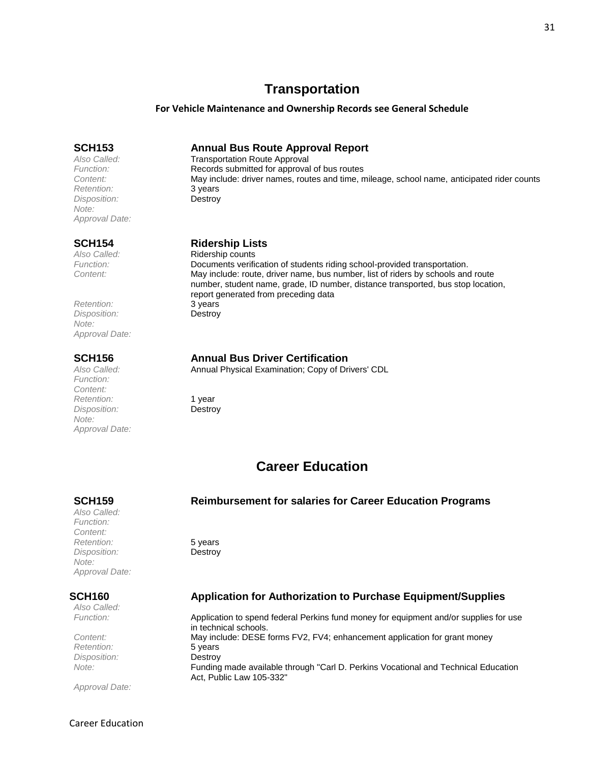## **Transportation**

### **For Vehicle Maintenance and Ownership Records see General Schedule**

<span id="page-30-0"></span>**SCH153 Annual Bus Route Approval Report**

*Also Called:* Transportation Route Approval<br>
Function: **Transportation Records submitted for approval** Records submitted for approval of bus routes *Content:* May include: driver names, routes and time, mileage, school name, anticipated rider counts

### **SCH154 Ridership Lists**

*Also Called:* Ridership counts *Function:* Documents verification of students riding school-provided transportation. *Content:* May include: route, driver name, bus number, list of riders by schools and route number, student name, grade, ID number, distance transported, bus stop location, report generated from preceding data

### **SCH156 Annual Bus Driver Certification**

*Also Called:* Annual Physical Examination; Copy of Drivers' CDL

## **Career Education**

### <span id="page-30-1"></span>**SCH159 Reimbursement for salaries for Career Education Programs**

*Also Called: Function: Content: Retention:* 5 years *Disposition:* Destroy *Note: Approval Date:*

*Also Called:*

*Retention:* 5 years *Disposition:* Destroy

*Approval Date:*

## **SCH160 Application for Authorization to Purchase Equipment/Supplies**

*Function:* Application to spend federal Perkins fund money for equipment and/or supplies for use in technical schools. *Content:* May include: DESE forms FV2, FV4; enhancement application for grant money *Note:* Funding made available through "Carl D. Perkins Vocational and Technical Education Act, Public Law 105-332"

*Retention:* 3 years *Disposition:* Destroy *Note: Approval Date:*

*Retention:* 3 years *Disposition:* Destroy *Note: Approval Date:*

*Function: Content: Retention:* 1 year *Disposition:* Destroy *Note: Approval Date:*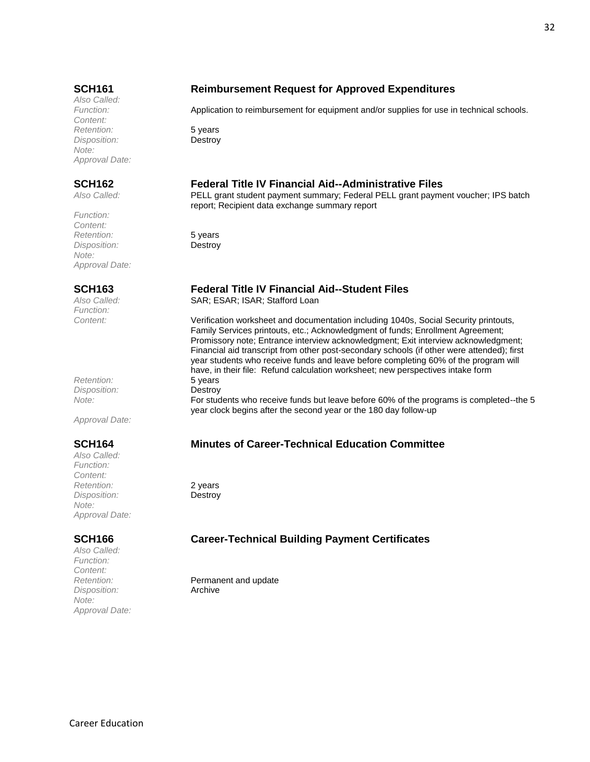*Also Called: Content: Retention:* 5 years *Disposition:* Destroy *Note: Approval Date:*

*Function: Content: Retention:* 5 years *Disposition:* Destroy *Note: Approval Date:*

*Function:*

*Retention:* 5 years *Disposition:* Destroy

*Approval Date:*

*Also Called: Function: Content: Retention:* 2 years *Disposition:* Destroy *Note: Approval Date:*

*Also Called: Function: Content: Disposition:* Archive *Note: Approval Date:*

## **SCH161 Reimbursement Request for Approved Expenditures**

Application to reimbursement for equipment and/or supplies for use in technical schools.

### **SCH162 Federal Title IV Financial Aid--Administrative Files**

*Also Called:* PELL grant student payment summary; Federal PELL grant payment voucher; IPS batch report; Recipient data exchange summary report

### **SCH163 Federal Title IV Financial Aid--Student Files**

Also Called: SAR; ESAR; ISAR; Stafford Loan

*Content:* Verification worksheet and documentation including 1040s, Social Security printouts, Family Services printouts, etc.; Acknowledgment of funds; Enrollment Agreement; Promissory note; Entrance interview acknowledgment; Exit interview acknowledgment; Financial aid transcript from other post-secondary schools (if other were attended); first year students who receive funds and leave before completing 60% of the program will have, in their file: Refund calculation worksheet; new perspectives intake form

*Note:* For students who receive funds but leave before 60% of the programs is completed--the 5 year clock begins after the second year or the 180 day follow-up

## **SCH164 Minutes of Career-Technical Education Committee**

## **SCH166 Career-Technical Building Payment Certificates**

*Retention:* Permanent and update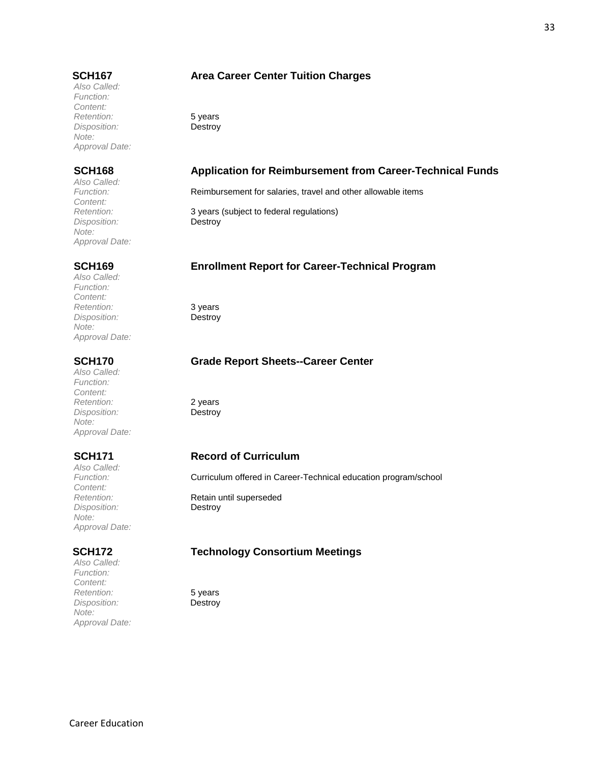*Also Called: Function: Content: Retention:* 5 years *Disposition:* Destroy *Note: Approval Date:*

*Also Called: Content: Disposition:* Destroy *Note: Approval Date:*

*Also Called: Function: Content: Retention:* 3 years *Disposition:* Destroy *Note: Approval Date:*

*Also Called: Function: Content: Retention:* 2 years *Disposition: Note: Approval Date:*

*Also Called: Content: Disposition:* Destroy *Note: Approval Date:*

*Also Called: Function: Content:* **Paramerican Retention:** 5 years<br> *Disposition:* **Destroy** *Disposition: Note: Approval Date:*

### **SCH167 Area Career Center Tuition Charges**

### **SCH168 Application for Reimbursement from Career-Technical Funds**

*Function:* Reimbursement for salaries, travel and other allowable items

3 years (subject to federal regulations)

### **SCH169 Enrollment Report for Career-Technical Program**

### **SCH170 Grade Report Sheets--Career Center**

### **SCH171 Record of Curriculum**

*Function:* Curriculum offered in Career-Technical education program/school

**Retention:** Retain until superseded

### **SCH172 Technology Consortium Meetings**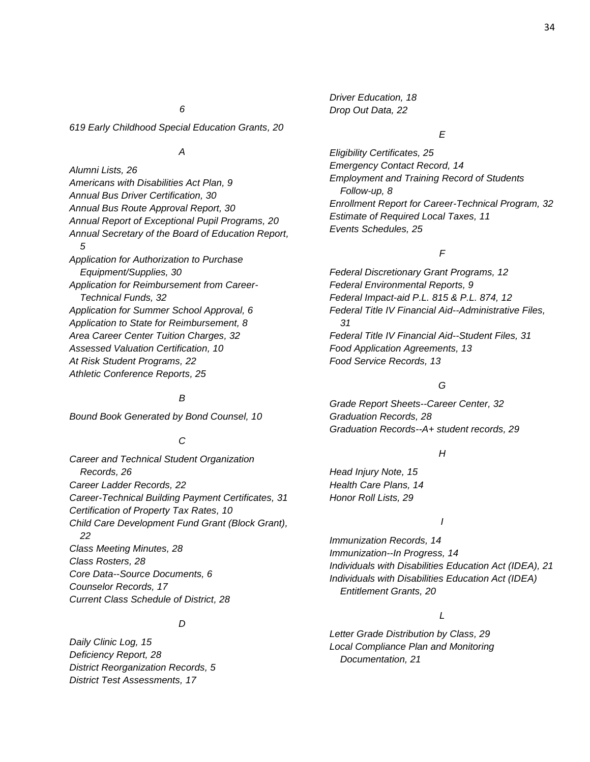*Driver Education, 18 Drop Out Data, 22*

### *6*

*619 Early Childhood Special Education Grants, 20*

### *A*

*Alumni Lists, 26 Americans with Disabilities Act Plan, 9 Annual Bus Driver Certification, 30 Annual Bus Route Approval Report, 30 Annual Report of Exceptional Pupil Programs, 20 Annual Secretary of the Board of Education Report, 5 Application for Authorization to Purchase Equipment/Supplies, 30 Application for Reimbursement from Career-Technical Funds, 32 Application for Summer School Approval, 6 Application to State for Reimbursement, 8 Area Career Center Tuition Charges, 32 Assessed Valuation Certification, 10 At Risk Student Programs, 22 Athletic Conference Reports, 25*

### *B*

*Bound Book Generated by Bond Counsel, 10*

### *C*

*Career and Technical Student Organization Records, 26 Career Ladder Records, 22 Career-Technical Building Payment Certificates, 31 Certification of Property Tax Rates, 10 Child Care Development Fund Grant (Block Grant), 22 Class Meeting Minutes, 28 Class Rosters, 28 Core Data--Source Documents, 6 Counselor Records, 17 Current Class Schedule of District, 28*

### *D*

*Daily Clinic Log, 15 Deficiency Report, 28 District Reorganization Records, 5 District Test Assessments, 17*

### *E*

*Eligibility Certificates, 25 Emergency Contact Record, 14 Employment and Training Record of Students Follow-up, 8 Enrollment Report for Career-Technical Program, 32 Estimate of Required Local Taxes, 11 Events Schedules, 25*

### *F*

*Federal Discretionary Grant Programs, 12 Federal Environmental Reports, 9 Federal Impact-aid P.L. 815 & P.L. 874, 12 Federal Title IV Financial Aid--Administrative Files, 31 Federal Title IV Financial Aid--Student Files, 31 Food Application Agreements, 13 Food Service Records, 13*

### *G*

*Grade Report Sheets--Career Center, 32 Graduation Records, 28 Graduation Records--A+ student records, 29*

### *H*

*Head Injury Note, 15 Health Care Plans, 14 Honor Roll Lists, 29*

### *I*

*Immunization Records, 14 Immunization--In Progress, 14 Individuals with Disabilities Education Act (IDEA), 21 Individuals with Disabilities Education Act (IDEA) Entitlement Grants, 20*

### *L*

*Letter Grade Distribution by Class, 29 Local Compliance Plan and Monitoring Documentation, 21*